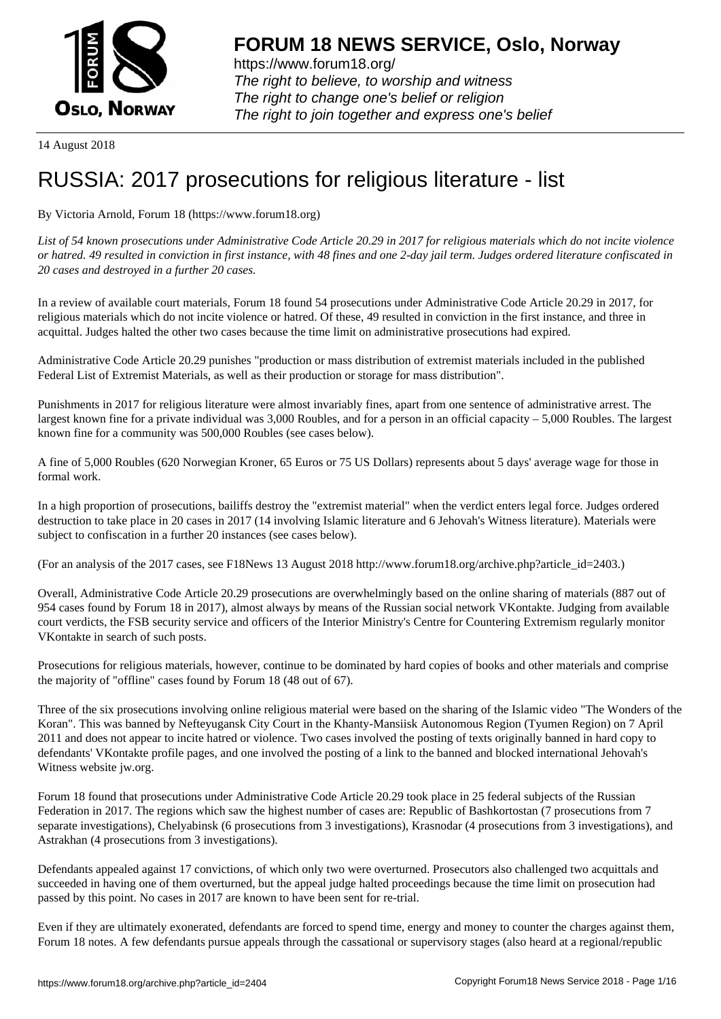

https://www.forum18.org/ The right to believe, to worship and witness The right to change one's belief or religion [The right to join together a](https://www.forum18.org/)nd express one's belief

14 August 2018

## [RUSSIA: 2017](https://www.forum18.org) prosecutions for religious literature - list

By Victoria Arnold, Forum 18 (https://www.forum18.org)

*List of 54 known prosecutions under Administrative Code Article 20.29 in 2017 for religious materials which do not incite violence or hatred. 49 resulted in conviction in first instance, with 48 fines and one 2-day jail term. Judges ordered literature confiscated in 20 cases and destroyed in a further 20 cases.*

In a review of available court materials, Forum 18 found 54 prosecutions under Administrative Code Article 20.29 in 2017, for religious materials which do not incite violence or hatred. Of these, 49 resulted in conviction in the first instance, and three in acquittal. Judges halted the other two cases because the time limit on administrative prosecutions had expired.

Administrative Code Article 20.29 punishes "production or mass distribution of extremist materials included in the published Federal List of Extremist Materials, as well as their production or storage for mass distribution".

Punishments in 2017 for religious literature were almost invariably fines, apart from one sentence of administrative arrest. The largest known fine for a private individual was 3,000 Roubles, and for a person in an official capacity – 5,000 Roubles. The largest known fine for a community was 500,000 Roubles (see cases below).

A fine of 5,000 Roubles (620 Norwegian Kroner, 65 Euros or 75 US Dollars) represents about 5 days' average wage for those in formal work.

In a high proportion of prosecutions, bailiffs destroy the "extremist material" when the verdict enters legal force. Judges ordered destruction to take place in 20 cases in 2017 (14 involving Islamic literature and 6 Jehovah's Witness literature). Materials were subject to confiscation in a further 20 instances (see cases below).

(For an analysis of the 2017 cases, see F18News 13 August 2018 http://www.forum18.org/archive.php?article\_id=2403.)

Overall, Administrative Code Article 20.29 prosecutions are overwhelmingly based on the online sharing of materials (887 out of 954 cases found by Forum 18 in 2017), almost always by means of the Russian social network VKontakte. Judging from available court verdicts, the FSB security service and officers of the Interior Ministry's Centre for Countering Extremism regularly monitor VKontakte in search of such posts.

Prosecutions for religious materials, however, continue to be dominated by hard copies of books and other materials and comprise the majority of "offline" cases found by Forum 18 (48 out of 67).

Three of the six prosecutions involving online religious material were based on the sharing of the Islamic video "The Wonders of the Koran". This was banned by Nefteyugansk City Court in the Khanty-Mansiisk Autonomous Region (Tyumen Region) on 7 April 2011 and does not appear to incite hatred or violence. Two cases involved the posting of texts originally banned in hard copy to defendants' VKontakte profile pages, and one involved the posting of a link to the banned and blocked international Jehovah's Witness website jw.org.

Forum 18 found that prosecutions under Administrative Code Article 20.29 took place in 25 federal subjects of the Russian Federation in 2017. The regions which saw the highest number of cases are: Republic of Bashkortostan (7 prosecutions from 7 separate investigations), Chelyabinsk (6 prosecutions from 3 investigations), Krasnodar (4 prosecutions from 3 investigations), and Astrakhan (4 prosecutions from 3 investigations).

Defendants appealed against 17 convictions, of which only two were overturned. Prosecutors also challenged two acquittals and succeeded in having one of them overturned, but the appeal judge halted proceedings because the time limit on prosecution had passed by this point. No cases in 2017 are known to have been sent for re-trial.

Even if they are ultimately exonerated, defendants are forced to spend time, energy and money to counter the charges against them, Forum 18 notes. A few defendants pursue appeals through the cassational or supervisory stages (also heard at a regional/republic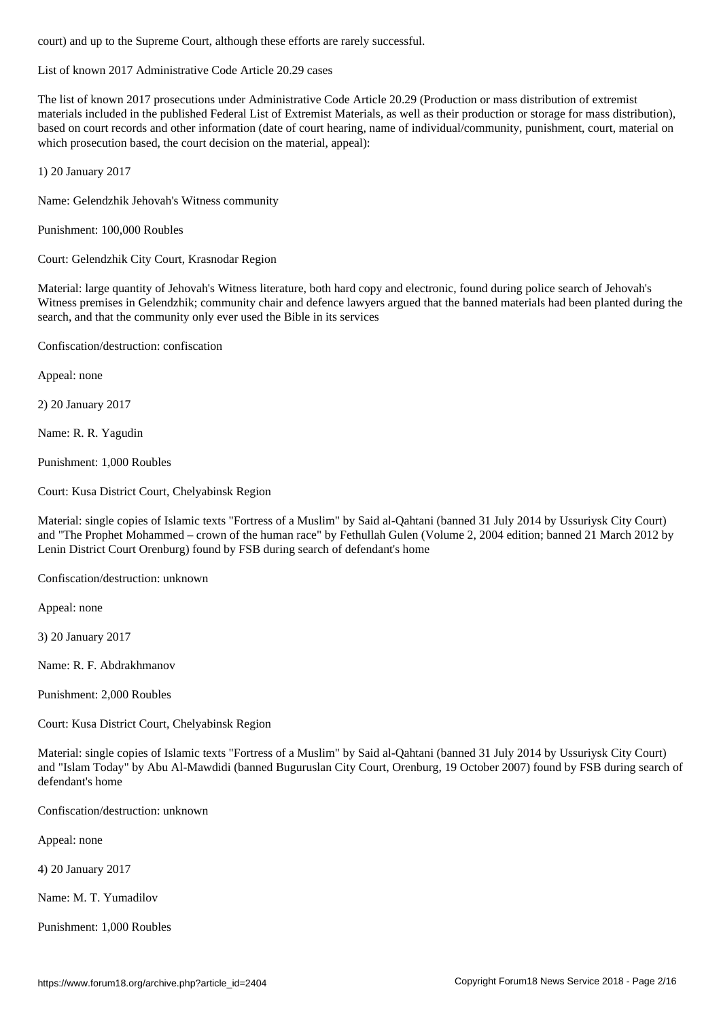List of known 2017 Administrative Code Article 20.29 cases

The list of known 2017 prosecutions under Administrative Code Article 20.29 (Production or mass distribution of extremist materials included in the published Federal List of Extremist Materials, as well as their production or storage for mass distribution), based on court records and other information (date of court hearing, name of individual/community, punishment, court, material on which prosecution based, the court decision on the material, appeal):

1) 20 January 2017

Name: Gelendzhik Jehovah's Witness community

Punishment: 100,000 Roubles

Court: Gelendzhik City Court, Krasnodar Region

Material: large quantity of Jehovah's Witness literature, both hard copy and electronic, found during police search of Jehovah's Witness premises in Gelendzhik; community chair and defence lawyers argued that the banned materials had been planted during the search, and that the community only ever used the Bible in its services

Confiscation/destruction: confiscation

Appeal: none

2) 20 January 2017

Name: R. R. Yagudin

Punishment: 1,000 Roubles

Court: Kusa District Court, Chelyabinsk Region

Material: single copies of Islamic texts "Fortress of a Muslim" by Said al-Qahtani (banned 31 July 2014 by Ussuriysk City Court) and "The Prophet Mohammed – crown of the human race" by Fethullah Gulen (Volume 2, 2004 edition; banned 21 March 2012 by Lenin District Court Orenburg) found by FSB during search of defendant's home

Confiscation/destruction: unknown

Appeal: none

3) 20 January 2017

Name: R. F. Abdrakhmanov

Punishment: 2,000 Roubles

Court: Kusa District Court, Chelyabinsk Region

Material: single copies of Islamic texts "Fortress of a Muslim" by Said al-Qahtani (banned 31 July 2014 by Ussuriysk City Court) and "Islam Today" by Abu Al-Mawdidi (banned Buguruslan City Court, Orenburg, 19 October 2007) found by FSB during search of defendant's home

Confiscation/destruction: unknown

Appeal: none

4) 20 January 2017

Name: M. T. Yumadilov

Punishment: 1,000 Roubles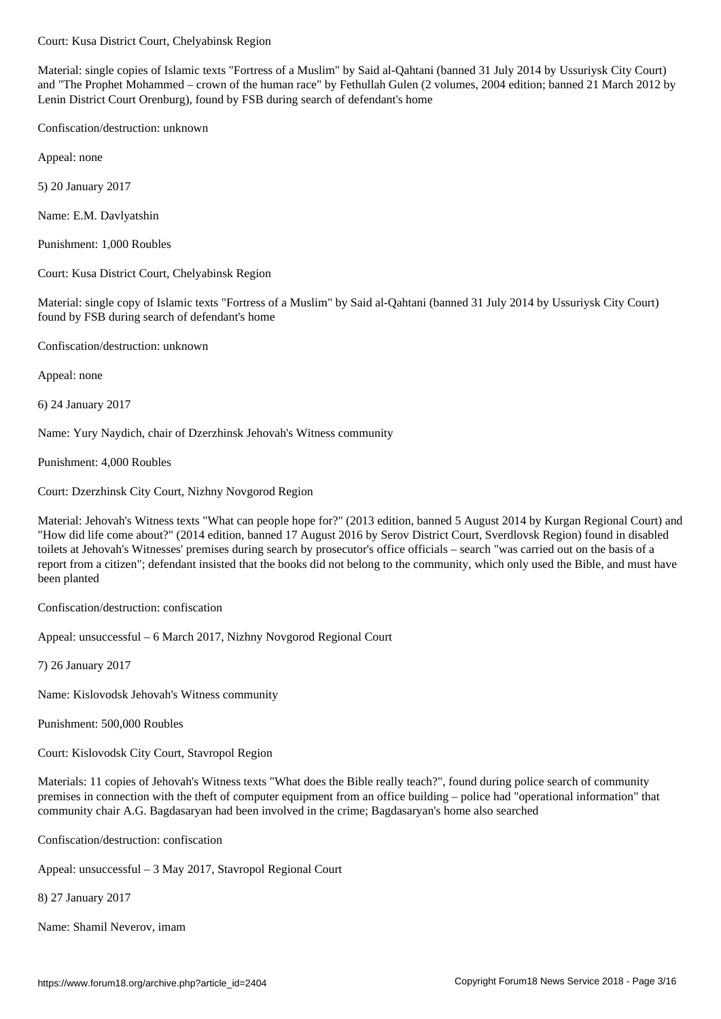Material: single copies of Islamic texts "Fortress of a Muslim" by Said al-Qahtani (banned 31 July 2014 by Ussuriysk City Court) and "The Prophet Mohammed – crown of the human race" by Fethullah Gulen (2 volumes, 2004 edition; banned 21 March 2012 by Lenin District Court Orenburg), found by FSB during search of defendant's home

Confiscation/destruction: unknown

Appeal: none

5) 20 January 2017

Name: E.M. Davlyatshin

Punishment: 1,000 Roubles

Court: Kusa District Court, Chelyabinsk Region

Material: single copy of Islamic texts "Fortress of a Muslim" by Said al-Qahtani (banned 31 July 2014 by Ussuriysk City Court) found by FSB during search of defendant's home

Confiscation/destruction: unknown

Appeal: none

6) 24 January 2017

Name: Yury Naydich, chair of Dzerzhinsk Jehovah's Witness community

Punishment: 4,000 Roubles

Court: Dzerzhinsk City Court, Nizhny Novgorod Region

Material: Jehovah's Witness texts "What can people hope for?" (2013 edition, banned 5 August 2014 by Kurgan Regional Court) and "How did life come about?" (2014 edition, banned 17 August 2016 by Serov District Court, Sverdlovsk Region) found in disabled toilets at Jehovah's Witnesses' premises during search by prosecutor's office officials – search "was carried out on the basis of a report from a citizen"; defendant insisted that the books did not belong to the community, which only used the Bible, and must have been planted

Confiscation/destruction: confiscation

Appeal: unsuccessful – 6 March 2017, Nizhny Novgorod Regional Court

7) 26 January 2017

Name: Kislovodsk Jehovah's Witness community

Punishment: 500,000 Roubles

Court: Kislovodsk City Court, Stavropol Region

Materials: 11 copies of Jehovah's Witness texts "What does the Bible really teach?", found during police search of community premises in connection with the theft of computer equipment from an office building – police had "operational information" that community chair A.G. Bagdasaryan had been involved in the crime; Bagdasaryan's home also searched

Confiscation/destruction: confiscation

Appeal: unsuccessful – 3 May 2017, Stavropol Regional Court

8) 27 January 2017

Name: Shamil Neverov, imam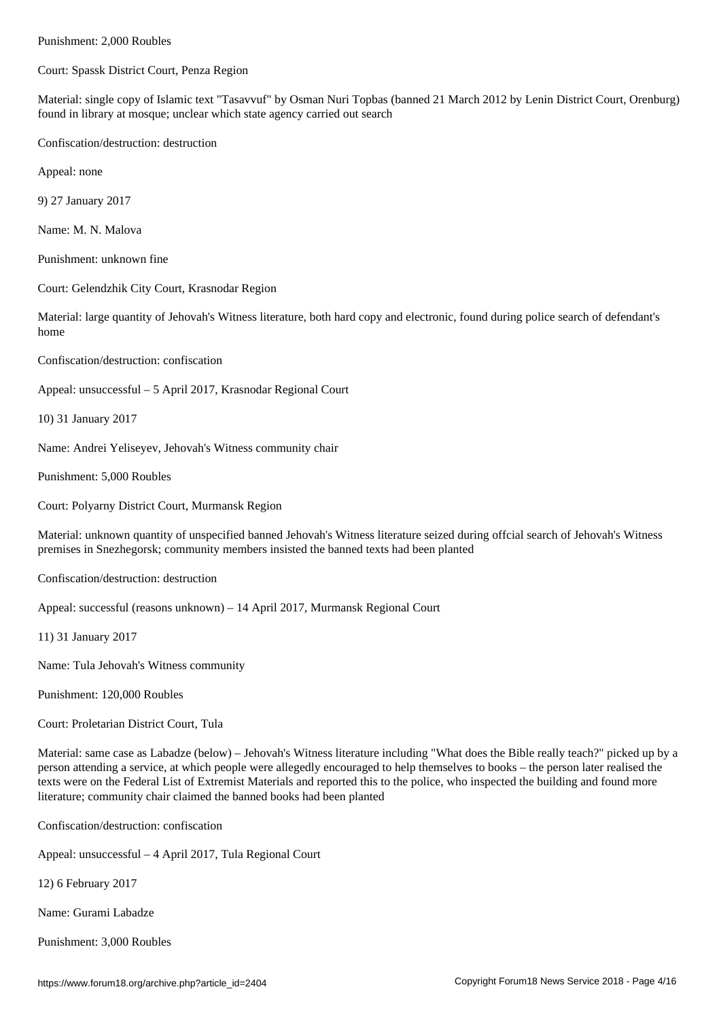Court: Spassk District Court, Penza Region

Material: single copy of Islamic text "Tasavvuf" by Osman Nuri Topbas (banned 21 March 2012 by Lenin District Court, Orenburg) found in library at mosque; unclear which state agency carried out search

Confiscation/destruction: destruction

Appeal: none

9) 27 January 2017

Name: M. N. Malova

Punishment: unknown fine

Court: Gelendzhik City Court, Krasnodar Region

Material: large quantity of Jehovah's Witness literature, both hard copy and electronic, found during police search of defendant's home

Confiscation/destruction: confiscation

Appeal: unsuccessful – 5 April 2017, Krasnodar Regional Court

10) 31 January 2017

Name: Andrei Yeliseyev, Jehovah's Witness community chair

Punishment: 5,000 Roubles

Court: Polyarny District Court, Murmansk Region

Material: unknown quantity of unspecified banned Jehovah's Witness literature seized during offcial search of Jehovah's Witness premises in Snezhegorsk; community members insisted the banned texts had been planted

Confiscation/destruction: destruction

Appeal: successful (reasons unknown) – 14 April 2017, Murmansk Regional Court

11) 31 January 2017

Name: Tula Jehovah's Witness community

Punishment: 120,000 Roubles

Court: Proletarian District Court, Tula

Material: same case as Labadze (below) – Jehovah's Witness literature including "What does the Bible really teach?" picked up by a person attending a service, at which people were allegedly encouraged to help themselves to books – the person later realised the texts were on the Federal List of Extremist Materials and reported this to the police, who inspected the building and found more literature; community chair claimed the banned books had been planted

Confiscation/destruction: confiscation

Appeal: unsuccessful – 4 April 2017, Tula Regional Court

12) 6 February 2017

Name: Gurami Labadze

Punishment: 3,000 Roubles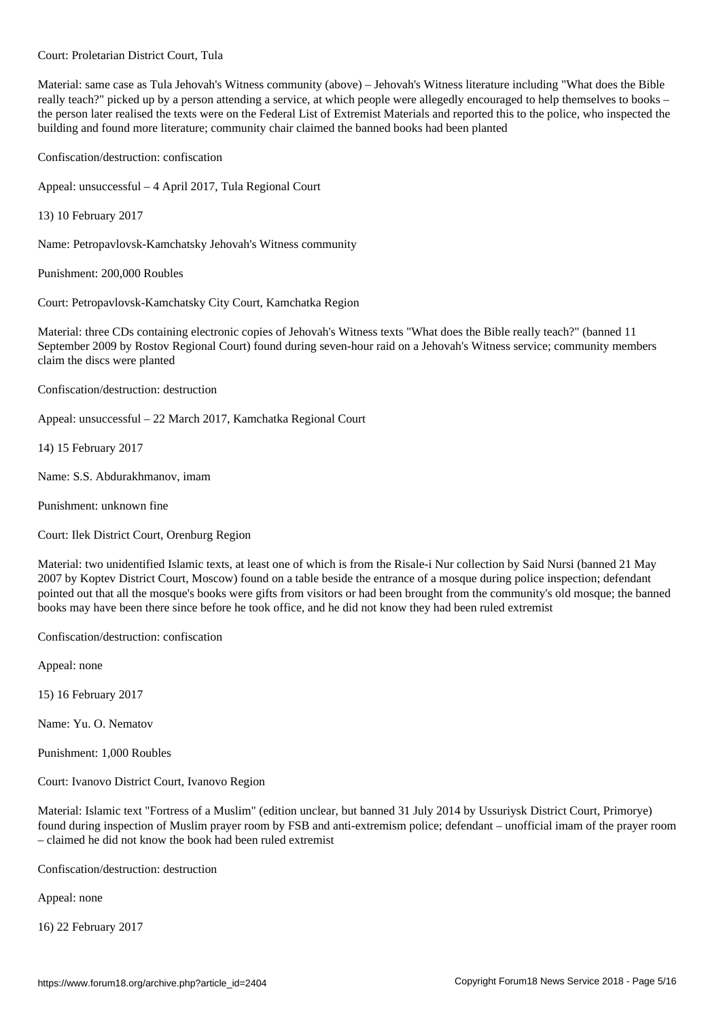Material: same case as Tula Jehovah's Witness community (above) – Jehovah's Witness literature including "What does the Bible really teach?" picked up by a person attending a service, at which people were allegedly encouraged to help themselves to books – the person later realised the texts were on the Federal List of Extremist Materials and reported this to the police, who inspected the building and found more literature; community chair claimed the banned books had been planted

Confiscation/destruction: confiscation

Court: Proletarian District Court, Tula

Appeal: unsuccessful – 4 April 2017, Tula Regional Court

13) 10 February 2017

Name: Petropavlovsk-Kamchatsky Jehovah's Witness community

Punishment: 200,000 Roubles

Court: Petropavlovsk-Kamchatsky City Court, Kamchatka Region

Material: three CDs containing electronic copies of Jehovah's Witness texts "What does the Bible really teach?" (banned 11 September 2009 by Rostov Regional Court) found during seven-hour raid on a Jehovah's Witness service; community members claim the discs were planted

Confiscation/destruction: destruction

Appeal: unsuccessful – 22 March 2017, Kamchatka Regional Court

14) 15 February 2017

Name: S.S. Abdurakhmanov, imam

Punishment: unknown fine

Court: Ilek District Court, Orenburg Region

Material: two unidentified Islamic texts, at least one of which is from the Risale-i Nur collection by Said Nursi (banned 21 May 2007 by Koptev District Court, Moscow) found on a table beside the entrance of a mosque during police inspection; defendant pointed out that all the mosque's books were gifts from visitors or had been brought from the community's old mosque; the banned books may have been there since before he took office, and he did not know they had been ruled extremist

Confiscation/destruction: confiscation

Appeal: none

15) 16 February 2017

Name: Yu. O. Nematov

Punishment: 1,000 Roubles

Court: Ivanovo District Court, Ivanovo Region

Material: Islamic text "Fortress of a Muslim" (edition unclear, but banned 31 July 2014 by Ussuriysk District Court, Primorye) found during inspection of Muslim prayer room by FSB and anti-extremism police; defendant – unofficial imam of the prayer room – claimed he did not know the book had been ruled extremist

Confiscation/destruction: destruction

Appeal: none

16) 22 February 2017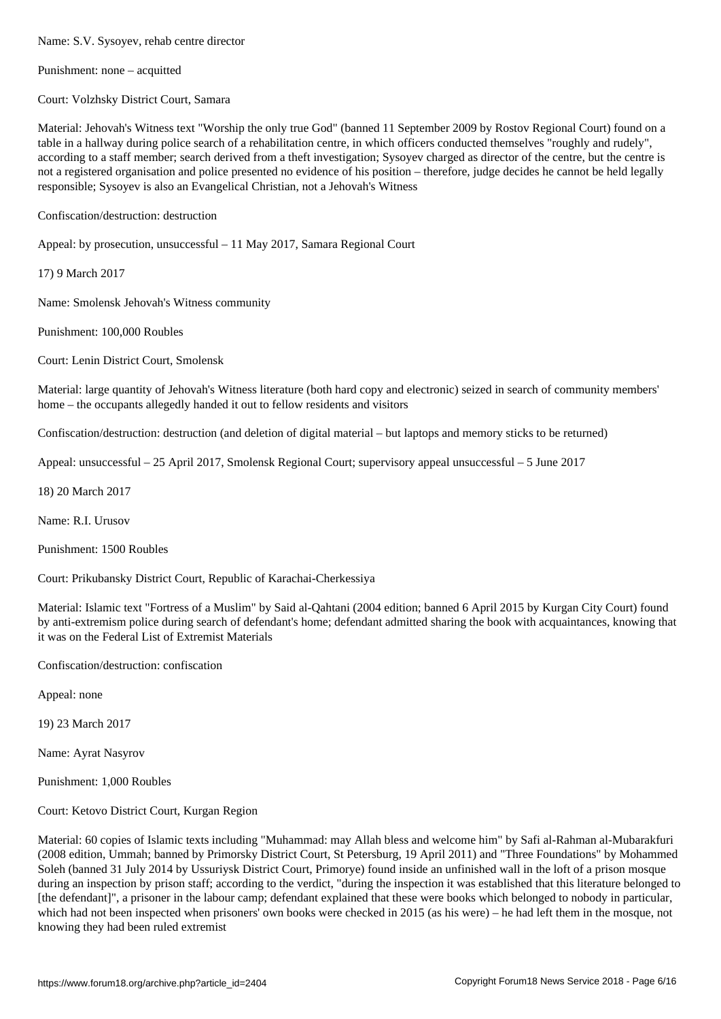Punishment: none – acquitted

Court: Volzhsky District Court, Samara

Material: Jehovah's Witness text "Worship the only true God" (banned 11 September 2009 by Rostov Regional Court) found on a table in a hallway during police search of a rehabilitation centre, in which officers conducted themselves "roughly and rudely", according to a staff member; search derived from a theft investigation; Sysoyev charged as director of the centre, but the centre is not a registered organisation and police presented no evidence of his position – therefore, judge decides he cannot be held legally responsible; Sysoyev is also an Evangelical Christian, not a Jehovah's Witness

Confiscation/destruction: destruction

Appeal: by prosecution, unsuccessful – 11 May 2017, Samara Regional Court

17) 9 March 2017

Name: Smolensk Jehovah's Witness community

Punishment: 100,000 Roubles

Court: Lenin District Court, Smolensk

Material: large quantity of Jehovah's Witness literature (both hard copy and electronic) seized in search of community members' home – the occupants allegedly handed it out to fellow residents and visitors

Confiscation/destruction: destruction (and deletion of digital material – but laptops and memory sticks to be returned)

Appeal: unsuccessful – 25 April 2017, Smolensk Regional Court; supervisory appeal unsuccessful – 5 June 2017

18) 20 March 2017

Name: R.I. Urusov

Punishment: 1500 Roubles

Court: Prikubansky District Court, Republic of Karachai-Cherkessiya

Material: Islamic text "Fortress of a Muslim" by Said al-Qahtani (2004 edition; banned 6 April 2015 by Kurgan City Court) found by anti-extremism police during search of defendant's home; defendant admitted sharing the book with acquaintances, knowing that it was on the Federal List of Extremist Materials

Confiscation/destruction: confiscation

Appeal: none

19) 23 March 2017

Name: Ayrat Nasyrov

Punishment: 1,000 Roubles

Court: Ketovo District Court, Kurgan Region

Material: 60 copies of Islamic texts including "Muhammad: may Allah bless and welcome him" by Safi al-Rahman al-Mubarakfuri (2008 edition, Ummah; banned by Primorsky District Court, St Petersburg, 19 April 2011) and "Three Foundations" by Mohammed Soleh (banned 31 July 2014 by Ussuriysk District Court, Primorye) found inside an unfinished wall in the loft of a prison mosque during an inspection by prison staff; according to the verdict, "during the inspection it was established that this literature belonged to [the defendant]", a prisoner in the labour camp; defendant explained that these were books which belonged to nobody in particular, which had not been inspected when prisoners' own books were checked in 2015 (as his were) – he had left them in the mosque, not knowing they had been ruled extremist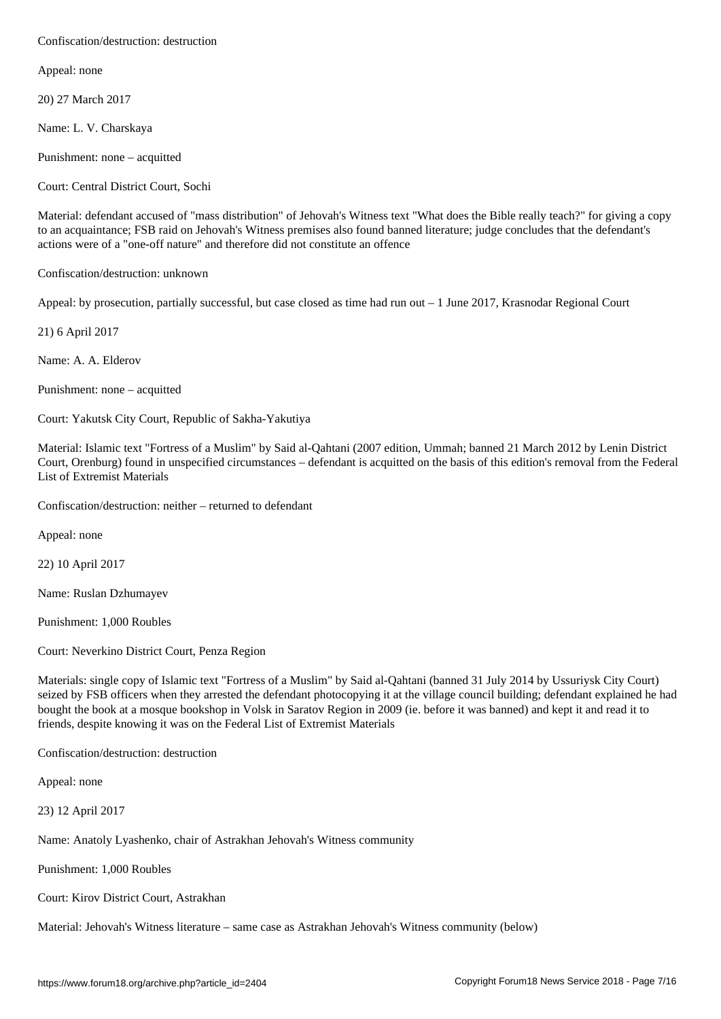Appeal: none

20) 27 March 2017

Name: L. V. Charskaya

Punishment: none – acquitted

Court: Central District Court, Sochi

Material: defendant accused of "mass distribution" of Jehovah's Witness text "What does the Bible really teach?" for giving a copy to an acquaintance; FSB raid on Jehovah's Witness premises also found banned literature; judge concludes that the defendant's actions were of a "one-off nature" and therefore did not constitute an offence

Confiscation/destruction: unknown

Appeal: by prosecution, partially successful, but case closed as time had run out – 1 June 2017, Krasnodar Regional Court

21) 6 April 2017

Name: A. A. Elderov

Punishment: none – acquitted

Court: Yakutsk City Court, Republic of Sakha-Yakutiya

Material: Islamic text "Fortress of a Muslim" by Said al-Qahtani (2007 edition, Ummah; banned 21 March 2012 by Lenin District Court, Orenburg) found in unspecified circumstances – defendant is acquitted on the basis of this edition's removal from the Federal List of Extremist Materials

Confiscation/destruction: neither – returned to defendant

Appeal: none

22) 10 April 2017

Name: Ruslan Dzhumayev

Punishment: 1,000 Roubles

Court: Neverkino District Court, Penza Region

Materials: single copy of Islamic text "Fortress of a Muslim" by Said al-Qahtani (banned 31 July 2014 by Ussuriysk City Court) seized by FSB officers when they arrested the defendant photocopying it at the village council building; defendant explained he had bought the book at a mosque bookshop in Volsk in Saratov Region in 2009 (ie. before it was banned) and kept it and read it to friends, despite knowing it was on the Federal List of Extremist Materials

Confiscation/destruction: destruction

Appeal: none

23) 12 April 2017

Name: Anatoly Lyashenko, chair of Astrakhan Jehovah's Witness community

Punishment: 1,000 Roubles

Court: Kirov District Court, Astrakhan

Material: Jehovah's Witness literature – same case as Astrakhan Jehovah's Witness community (below)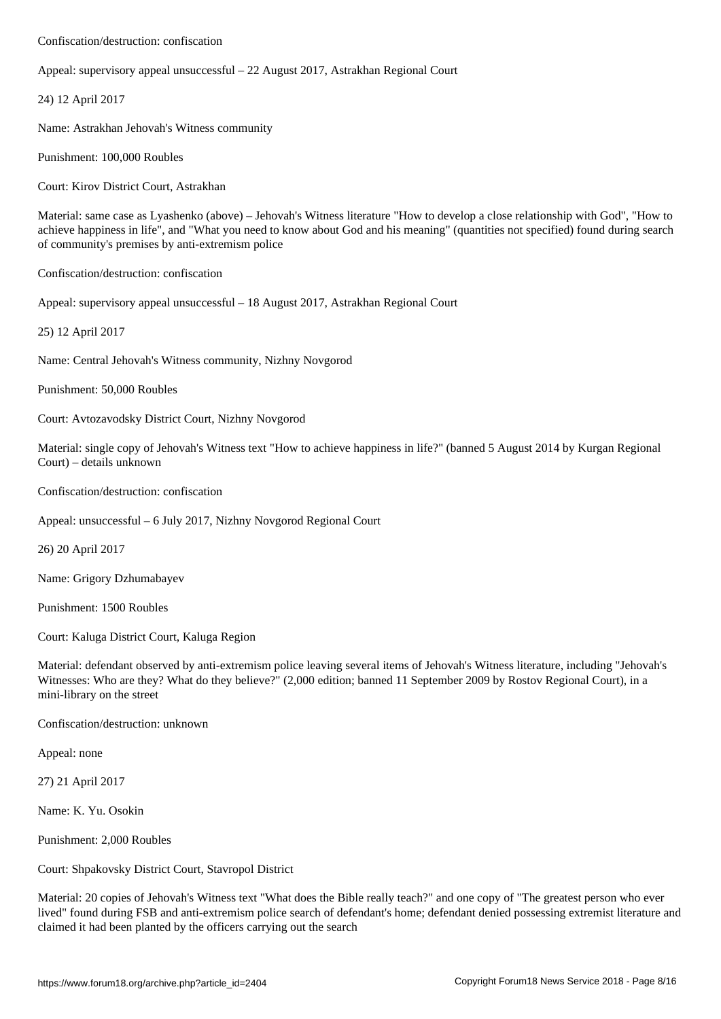Appeal: supervisory appeal unsuccessful – 22 August 2017, Astrakhan Regional Court

24) 12 April 2017

Name: Astrakhan Jehovah's Witness community

Punishment: 100,000 Roubles

Court: Kirov District Court, Astrakhan

Material: same case as Lyashenko (above) – Jehovah's Witness literature "How to develop a close relationship with God", "How to achieve happiness in life", and "What you need to know about God and his meaning" (quantities not specified) found during search of community's premises by anti-extremism police

Confiscation/destruction: confiscation

Appeal: supervisory appeal unsuccessful – 18 August 2017, Astrakhan Regional Court

25) 12 April 2017

Name: Central Jehovah's Witness community, Nizhny Novgorod

Punishment: 50,000 Roubles

Court: Avtozavodsky District Court, Nizhny Novgorod

Material: single copy of Jehovah's Witness text "How to achieve happiness in life?" (banned 5 August 2014 by Kurgan Regional Court) – details unknown

Confiscation/destruction: confiscation

Appeal: unsuccessful – 6 July 2017, Nizhny Novgorod Regional Court

26) 20 April 2017

Name: Grigory Dzhumabayev

Punishment: 1500 Roubles

Court: Kaluga District Court, Kaluga Region

Material: defendant observed by anti-extremism police leaving several items of Jehovah's Witness literature, including "Jehovah's Witnesses: Who are they? What do they believe?" (2,000 edition; banned 11 September 2009 by Rostov Regional Court), in a mini-library on the street

Confiscation/destruction: unknown

Appeal: none

27) 21 April 2017

Name: K. Yu. Osokin

Punishment: 2,000 Roubles

Court: Shpakovsky District Court, Stavropol District

Material: 20 copies of Jehovah's Witness text "What does the Bible really teach?" and one copy of "The greatest person who ever lived" found during FSB and anti-extremism police search of defendant's home; defendant denied possessing extremist literature and claimed it had been planted by the officers carrying out the search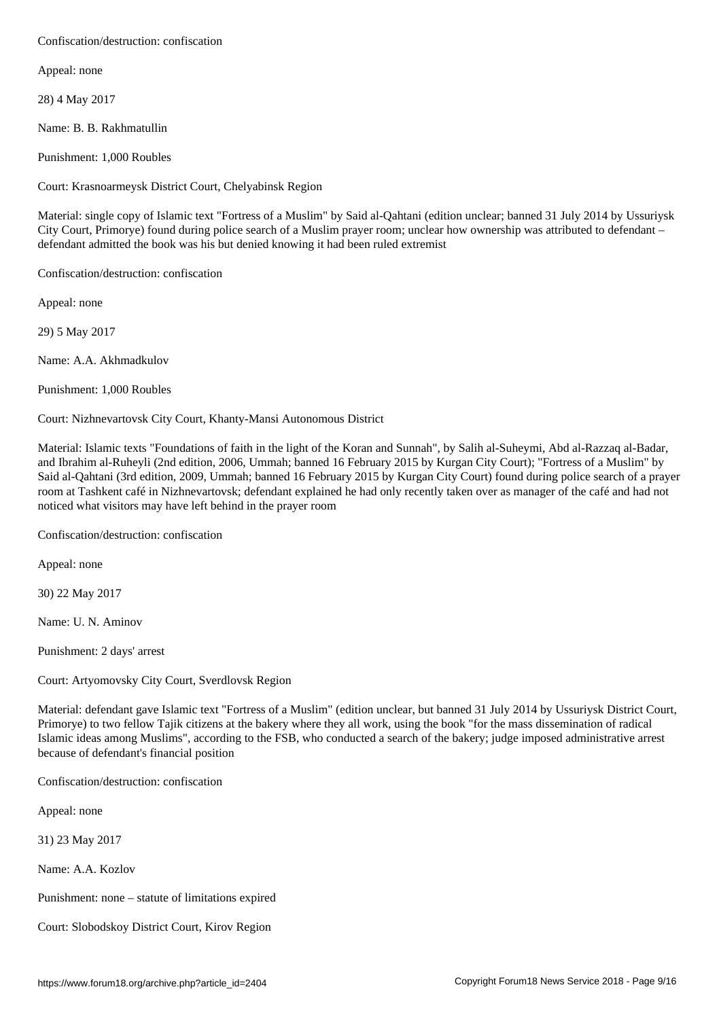Appeal: none

28) 4 May 2017

Name: B. B. Rakhmatullin

Punishment: 1,000 Roubles

Court: Krasnoarmeysk District Court, Chelyabinsk Region

Material: single copy of Islamic text "Fortress of a Muslim" by Said al-Qahtani (edition unclear; banned 31 July 2014 by Ussuriysk City Court, Primorye) found during police search of a Muslim prayer room; unclear how ownership was attributed to defendant – defendant admitted the book was his but denied knowing it had been ruled extremist

Confiscation/destruction: confiscation

Appeal: none

29) 5 May 2017

Name: A.A. Akhmadkulov

Punishment: 1,000 Roubles

Court: Nizhnevartovsk City Court, Khanty-Mansi Autonomous District

Material: Islamic texts "Foundations of faith in the light of the Koran and Sunnah", by Salih al-Suheymi, Abd al-Razzaq al-Badar, and Ibrahim al-Ruheyli (2nd edition, 2006, Ummah; banned 16 February 2015 by Kurgan City Court); "Fortress of a Muslim" by Said al-Qahtani (3rd edition, 2009, Ummah; banned 16 February 2015 by Kurgan City Court) found during police search of a prayer room at Tashkent café in Nizhnevartovsk; defendant explained he had only recently taken over as manager of the café and had not noticed what visitors may have left behind in the prayer room

Confiscation/destruction: confiscation

Appeal: none

30) 22 May 2017

Name: U. N. Aminov

Punishment: 2 days' arrest

Court: Artyomovsky City Court, Sverdlovsk Region

Material: defendant gave Islamic text "Fortress of a Muslim" (edition unclear, but banned 31 July 2014 by Ussuriysk District Court, Primorye) to two fellow Tajik citizens at the bakery where they all work, using the book "for the mass dissemination of radical Islamic ideas among Muslims", according to the FSB, who conducted a search of the bakery; judge imposed administrative arrest because of defendant's financial position

Confiscation/destruction: confiscation

Appeal: none

31) 23 May 2017

Name: A.A. Kozlov

Punishment: none – statute of limitations expired

Court: Slobodskoy District Court, Kirov Region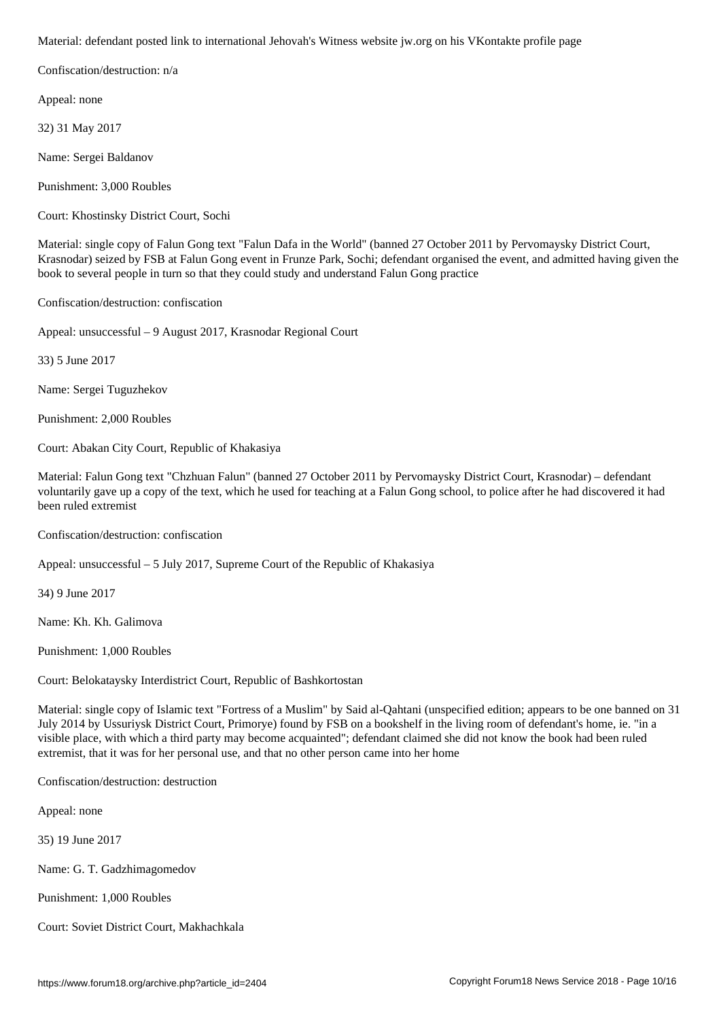Confiscation/destruction: n/a

Appeal: none

32) 31 May 2017

Name: Sergei Baldanov

Punishment: 3,000 Roubles

Court: Khostinsky District Court, Sochi

Material: single copy of Falun Gong text "Falun Dafa in the World" (banned 27 October 2011 by Pervomaysky District Court, Krasnodar) seized by FSB at Falun Gong event in Frunze Park, Sochi; defendant organised the event, and admitted having given the book to several people in turn so that they could study and understand Falun Gong practice

Confiscation/destruction: confiscation

Appeal: unsuccessful – 9 August 2017, Krasnodar Regional Court

33) 5 June 2017

Name: Sergei Tuguzhekov

Punishment: 2,000 Roubles

Court: Abakan City Court, Republic of Khakasiya

Material: Falun Gong text "Chzhuan Falun" (banned 27 October 2011 by Pervomaysky District Court, Krasnodar) – defendant voluntarily gave up a copy of the text, which he used for teaching at a Falun Gong school, to police after he had discovered it had been ruled extremist

Confiscation/destruction: confiscation

Appeal: unsuccessful – 5 July 2017, Supreme Court of the Republic of Khakasiya

34) 9 June 2017

Name: Kh. Kh. Galimova

Punishment: 1,000 Roubles

Court: Belokataysky Interdistrict Court, Republic of Bashkortostan

Material: single copy of Islamic text "Fortress of a Muslim" by Said al-Qahtani (unspecified edition; appears to be one banned on 31 July 2014 by Ussuriysk District Court, Primorye) found by FSB on a bookshelf in the living room of defendant's home, ie. "in a visible place, with which a third party may become acquainted"; defendant claimed she did not know the book had been ruled extremist, that it was for her personal use, and that no other person came into her home

Confiscation/destruction: destruction

Appeal: none

35) 19 June 2017

Name: G. T. Gadzhimagomedov

Punishment: 1,000 Roubles

Court: Soviet District Court, Makhachkala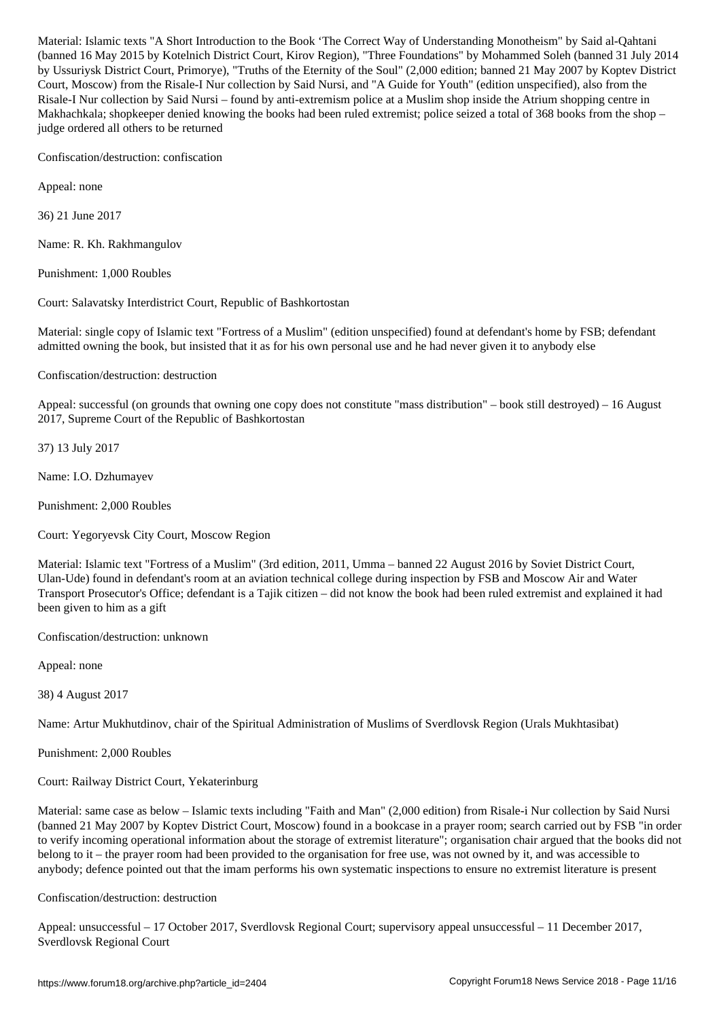(banded 16 May 2015 by Court, Court, Kirov Region), "Three Foundations" by Mohammed Soleh (banned 31 July 2014 by Ussuriysk District Court, Primorye), "Truths of the Eternity of the Soul" (2,000 edition; banned 21 May 2007 by Koptev District Court, Moscow) from the Risale-I Nur collection by Said Nursi, and "A Guide for Youth" (edition unspecified), also from the Risale-I Nur collection by Said Nursi – found by anti-extremism police at a Muslim shop inside the Atrium shopping centre in Makhachkala; shopkeeper denied knowing the books had been ruled extremist; police seized a total of 368 books from the shop – judge ordered all others to be returned

Confiscation/destruction: confiscation

Appeal: none

36) 21 June 2017

Name: R. Kh. Rakhmangulov

Punishment: 1,000 Roubles

Court: Salavatsky Interdistrict Court, Republic of Bashkortostan

Material: single copy of Islamic text "Fortress of a Muslim" (edition unspecified) found at defendant's home by FSB; defendant admitted owning the book, but insisted that it as for his own personal use and he had never given it to anybody else

Confiscation/destruction: destruction

Appeal: successful (on grounds that owning one copy does not constitute "mass distribution" – book still destroyed) – 16 August 2017, Supreme Court of the Republic of Bashkortostan

37) 13 July 2017

Name: I.O. Dzhumayev

Punishment: 2,000 Roubles

Court: Yegoryevsk City Court, Moscow Region

Material: Islamic text "Fortress of a Muslim" (3rd edition, 2011, Umma – banned 22 August 2016 by Soviet District Court, Ulan-Ude) found in defendant's room at an aviation technical college during inspection by FSB and Moscow Air and Water Transport Prosecutor's Office; defendant is a Tajik citizen – did not know the book had been ruled extremist and explained it had been given to him as a gift

Confiscation/destruction: unknown

Appeal: none

38) 4 August 2017

Name: Artur Mukhutdinov, chair of the Spiritual Administration of Muslims of Sverdlovsk Region (Urals Mukhtasibat)

Punishment: 2,000 Roubles

Court: Railway District Court, Yekaterinburg

Material: same case as below – Islamic texts including "Faith and Man" (2,000 edition) from Risale-i Nur collection by Said Nursi (banned 21 May 2007 by Koptev District Court, Moscow) found in a bookcase in a prayer room; search carried out by FSB "in order to verify incoming operational information about the storage of extremist literature"; organisation chair argued that the books did not belong to it – the prayer room had been provided to the organisation for free use, was not owned by it, and was accessible to anybody; defence pointed out that the imam performs his own systematic inspections to ensure no extremist literature is present

Confiscation/destruction: destruction

Appeal: unsuccessful – 17 October 2017, Sverdlovsk Regional Court; supervisory appeal unsuccessful – 11 December 2017, Sverdlovsk Regional Court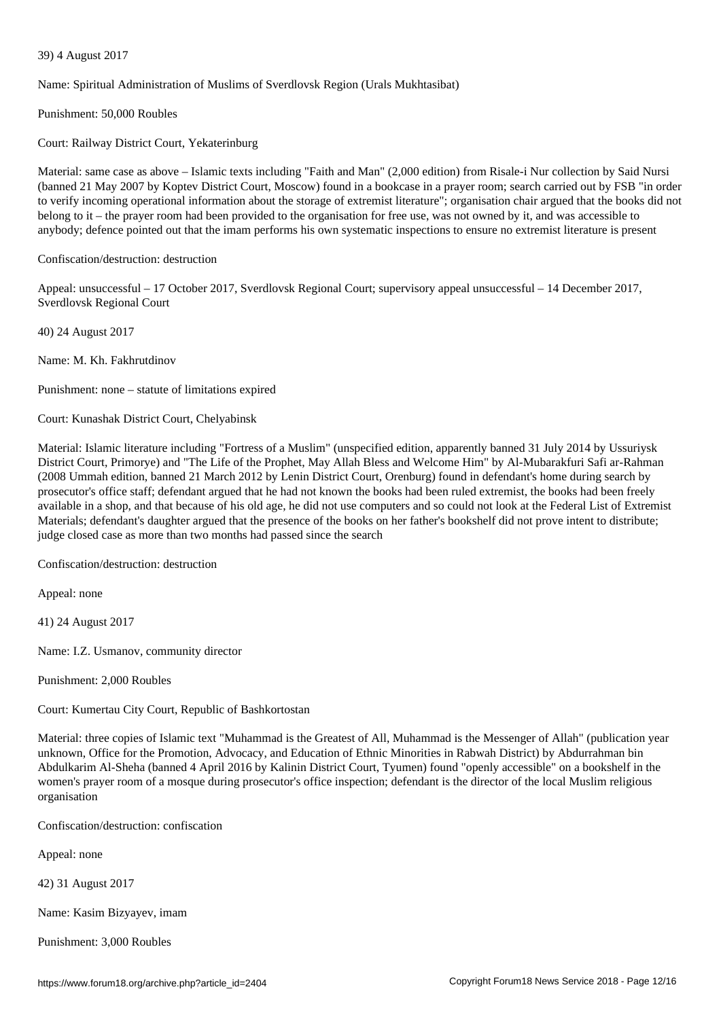Name: Spiritual Administration of Muslims of Sverdlovsk Region (Urals Mukhtasibat)

Punishment: 50,000 Roubles

39) 4 August 2017

Court: Railway District Court, Yekaterinburg

Material: same case as above – Islamic texts including "Faith and Man" (2,000 edition) from Risale-i Nur collection by Said Nursi (banned 21 May 2007 by Koptev District Court, Moscow) found in a bookcase in a prayer room; search carried out by FSB "in order to verify incoming operational information about the storage of extremist literature"; organisation chair argued that the books did not belong to it – the prayer room had been provided to the organisation for free use, was not owned by it, and was accessible to anybody; defence pointed out that the imam performs his own systematic inspections to ensure no extremist literature is present

Confiscation/destruction: destruction

Appeal: unsuccessful – 17 October 2017, Sverdlovsk Regional Court; supervisory appeal unsuccessful – 14 December 2017, Sverdlovsk Regional Court

40) 24 August 2017

Name: M. Kh. Fakhrutdinov

Punishment: none – statute of limitations expired

Court: Kunashak District Court, Chelyabinsk

Material: Islamic literature including "Fortress of a Muslim" (unspecified edition, apparently banned 31 July 2014 by Ussuriysk District Court, Primorye) and "The Life of the Prophet, May Allah Bless and Welcome Him" by Al-Mubarakfuri Safi ar-Rahman (2008 Ummah edition, banned 21 March 2012 by Lenin District Court, Orenburg) found in defendant's home during search by prosecutor's office staff; defendant argued that he had not known the books had been ruled extremist, the books had been freely available in a shop, and that because of his old age, he did not use computers and so could not look at the Federal List of Extremist Materials; defendant's daughter argued that the presence of the books on her father's bookshelf did not prove intent to distribute; judge closed case as more than two months had passed since the search

Confiscation/destruction: destruction

Appeal: none

41) 24 August 2017

Name: I.Z. Usmanov, community director

Punishment: 2,000 Roubles

Court: Kumertau City Court, Republic of Bashkortostan

Material: three copies of Islamic text "Muhammad is the Greatest of All, Muhammad is the Messenger of Allah" (publication year unknown, Office for the Promotion, Advocacy, and Education of Ethnic Minorities in Rabwah District) by Abdurrahman bin Abdulkarim Al-Sheha (banned 4 April 2016 by Kalinin District Court, Tyumen) found "openly accessible" on a bookshelf in the women's prayer room of a mosque during prosecutor's office inspection; defendant is the director of the local Muslim religious organisation

Confiscation/destruction: confiscation

Appeal: none

42) 31 August 2017

Name: Kasim Bizyayev, imam

Punishment: 3,000 Roubles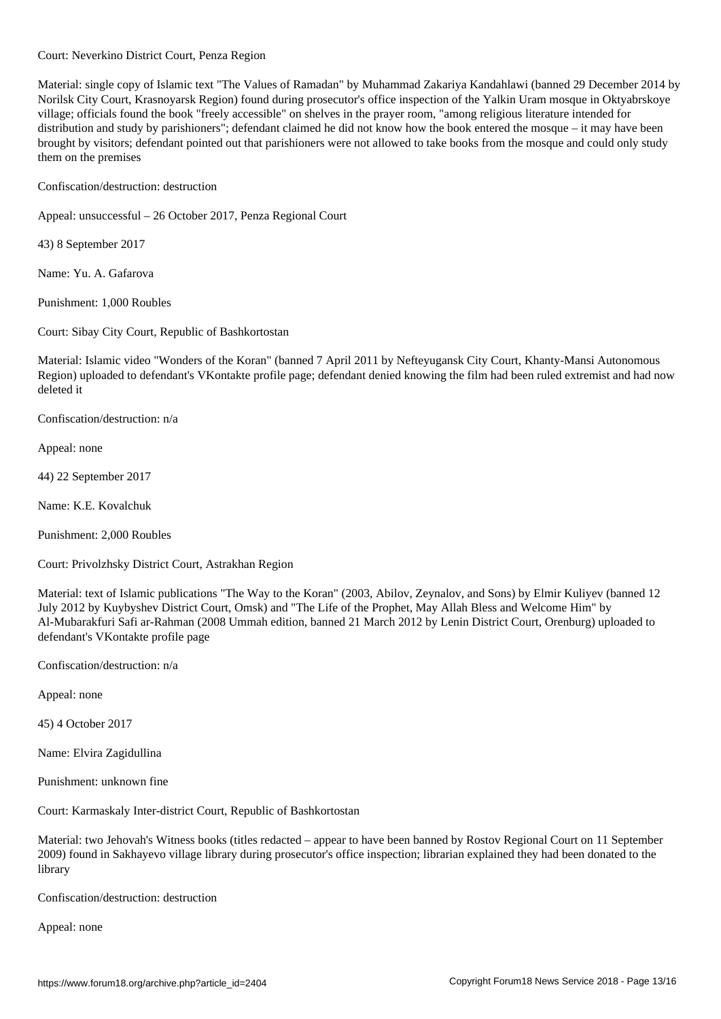Material: single copy of Islamic text "The Values of Ramadan" by Muhammad Zakariya Kandahlawi (banned 29 December 2014 by Norilsk City Court, Krasnoyarsk Region) found during prosecutor's office inspection of the Yalkin Uram mosque in Oktyabrskoye village; officials found the book "freely accessible" on shelves in the prayer room, "among religious literature intended for distribution and study by parishioners"; defendant claimed he did not know how the book entered the mosque – it may have been brought by visitors; defendant pointed out that parishioners were not allowed to take books from the mosque and could only study them on the premises

Confiscation/destruction: destruction

Court: Neverkino District Court, Penza Region

Appeal: unsuccessful – 26 October 2017, Penza Regional Court

43) 8 September 2017

Name: Yu. A. Gafarova

Punishment: 1,000 Roubles

Court: Sibay City Court, Republic of Bashkortostan

Material: Islamic video "Wonders of the Koran" (banned 7 April 2011 by Nefteyugansk City Court, Khanty-Mansi Autonomous Region) uploaded to defendant's VKontakte profile page; defendant denied knowing the film had been ruled extremist and had now deleted it

Confiscation/destruction: n/a

Appeal: none

44) 22 September 2017

Name: K.E. Kovalchuk

Punishment: 2,000 Roubles

Court: Privolzhsky District Court, Astrakhan Region

Material: text of Islamic publications "The Way to the Koran" (2003, Abilov, Zeynalov, and Sons) by Elmir Kuliyev (banned 12 July 2012 by Kuybyshev District Court, Omsk) and "The Life of the Prophet, May Allah Bless and Welcome Him" by Al-Mubarakfuri Safi ar-Rahman (2008 Ummah edition, banned 21 March 2012 by Lenin District Court, Orenburg) uploaded to defendant's VKontakte profile page

Confiscation/destruction: n/a

Appeal: none

45) 4 October 2017

Name: Elvira Zagidullina

Punishment: unknown fine

Court: Karmaskaly Inter-district Court, Republic of Bashkortostan

Material: two Jehovah's Witness books (titles redacted – appear to have been banned by Rostov Regional Court on 11 September 2009) found in Sakhayevo village library during prosecutor's office inspection; librarian explained they had been donated to the library

Confiscation/destruction: destruction

Appeal: none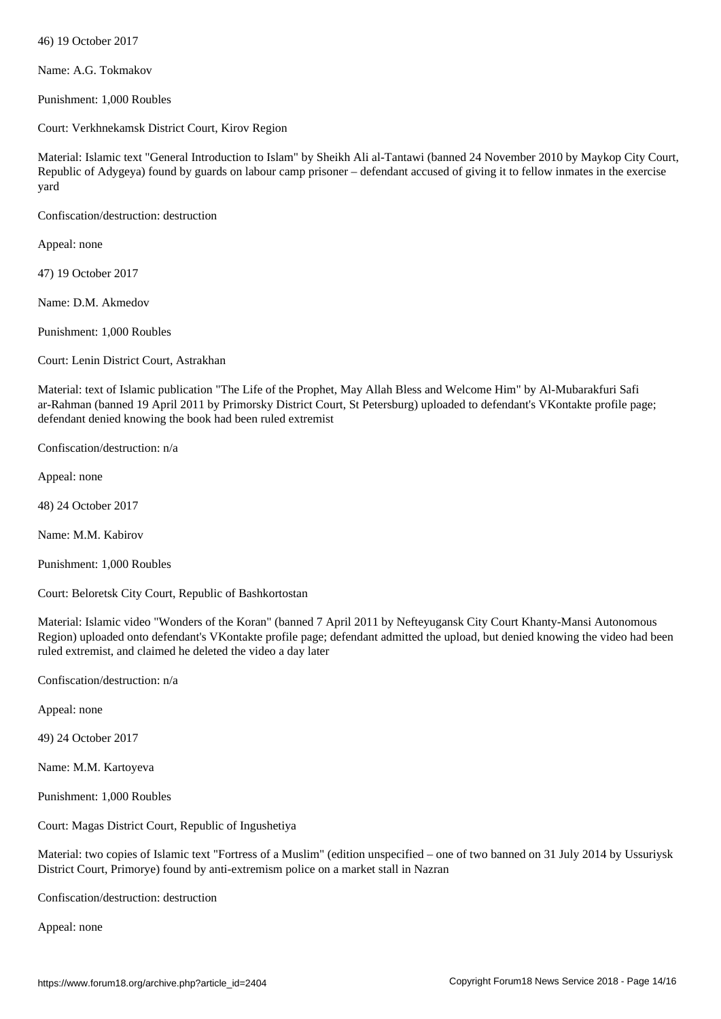Name: A.G. Tokmakov

Punishment: 1,000 Roubles

Court: Verkhnekamsk District Court, Kirov Region

Material: Islamic text "General Introduction to Islam" by Sheikh Ali al-Tantawi (banned 24 November 2010 by Maykop City Court, Republic of Adygeya) found by guards on labour camp prisoner – defendant accused of giving it to fellow inmates in the exercise yard

Confiscation/destruction: destruction

Appeal: none

47) 19 October 2017

Name: D.M. Akmedov

Punishment: 1,000 Roubles

Court: Lenin District Court, Astrakhan

Material: text of Islamic publication "The Life of the Prophet, May Allah Bless and Welcome Him" by Al-Mubarakfuri Safi ar-Rahman (banned 19 April 2011 by Primorsky District Court, St Petersburg) uploaded to defendant's VKontakte profile page; defendant denied knowing the book had been ruled extremist

Confiscation/destruction: n/a

Appeal: none

48) 24 October 2017

Name: M.M. Kabirov

Punishment: 1,000 Roubles

Court: Beloretsk City Court, Republic of Bashkortostan

Material: Islamic video "Wonders of the Koran" (banned 7 April 2011 by Nefteyugansk City Court Khanty-Mansi Autonomous Region) uploaded onto defendant's VKontakte profile page; defendant admitted the upload, but denied knowing the video had been ruled extremist, and claimed he deleted the video a day later

Confiscation/destruction: n/a

Appeal: none

49) 24 October 2017

Name: M.M. Kartoyeva

Punishment: 1,000 Roubles

Court: Magas District Court, Republic of Ingushetiya

Material: two copies of Islamic text "Fortress of a Muslim" (edition unspecified – one of two banned on 31 July 2014 by Ussuriysk District Court, Primorye) found by anti-extremism police on a market stall in Nazran

Confiscation/destruction: destruction

Appeal: none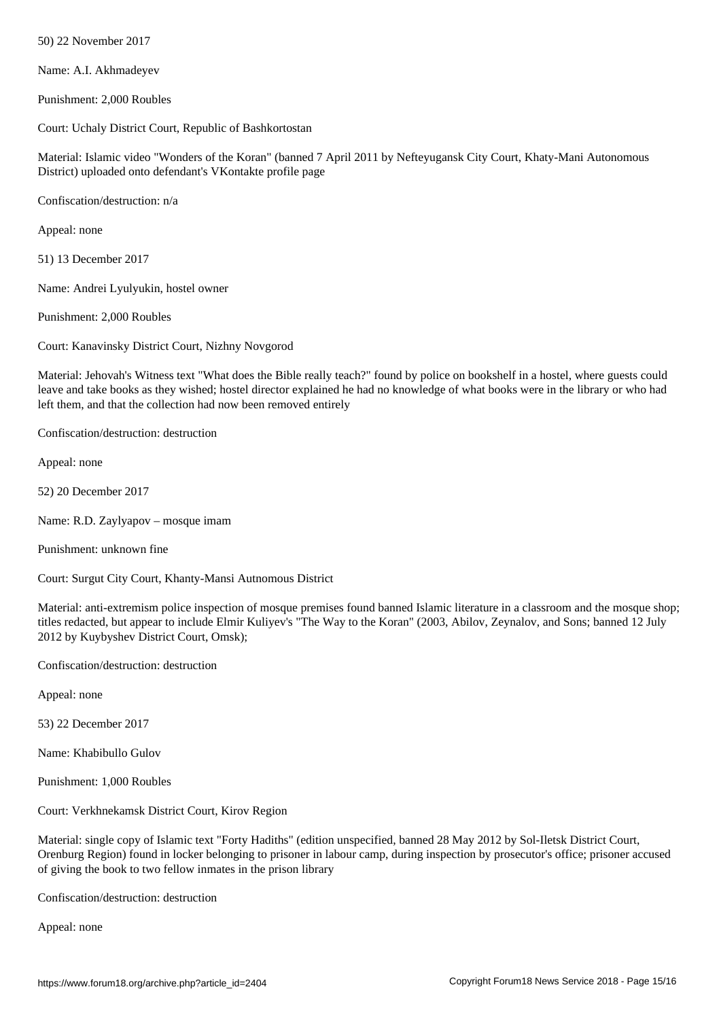Name: A.I. Akhmadeyev

Punishment: 2,000 Roubles

Court: Uchaly District Court, Republic of Bashkortostan

Material: Islamic video "Wonders of the Koran" (banned 7 April 2011 by Nefteyugansk City Court, Khaty-Mani Autonomous District) uploaded onto defendant's VKontakte profile page

Confiscation/destruction: n/a

Appeal: none

51) 13 December 2017

Name: Andrei Lyulyukin, hostel owner

Punishment: 2,000 Roubles

Court: Kanavinsky District Court, Nizhny Novgorod

Material: Jehovah's Witness text "What does the Bible really teach?" found by police on bookshelf in a hostel, where guests could leave and take books as they wished; hostel director explained he had no knowledge of what books were in the library or who had left them, and that the collection had now been removed entirely

Confiscation/destruction: destruction

Appeal: none

52) 20 December 2017

Name: R.D. Zaylyapov – mosque imam

Punishment: unknown fine

Court: Surgut City Court, Khanty-Mansi Autnomous District

Material: anti-extremism police inspection of mosque premises found banned Islamic literature in a classroom and the mosque shop; titles redacted, but appear to include Elmir Kuliyev's "The Way to the Koran" (2003, Abilov, Zeynalov, and Sons; banned 12 July 2012 by Kuybyshev District Court, Omsk);

Confiscation/destruction: destruction

Appeal: none

53) 22 December 2017

Name: Khabibullo Gulov

Punishment: 1,000 Roubles

Court: Verkhnekamsk District Court, Kirov Region

Material: single copy of Islamic text "Forty Hadiths" (edition unspecified, banned 28 May 2012 by Sol-Iletsk District Court, Orenburg Region) found in locker belonging to prisoner in labour camp, during inspection by prosecutor's office; prisoner accused of giving the book to two fellow inmates in the prison library

Confiscation/destruction: destruction

Appeal: none